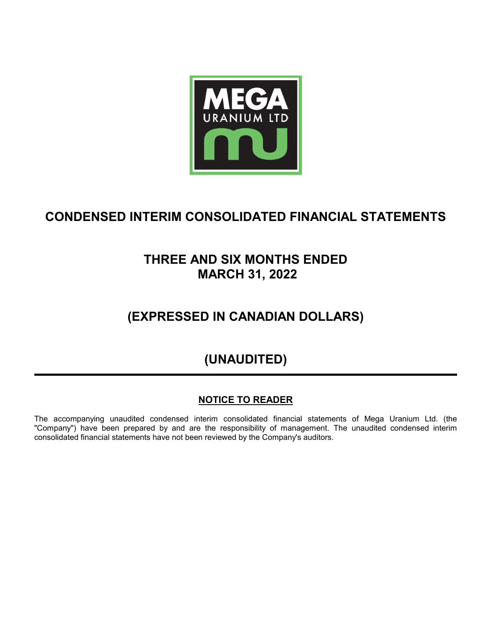

# **CONDENSED INTERIM CONSOLIDATED FINANCIAL STATEMENTS**

# **THREE AND SIX MONTHS ENDED MARCH 31, 2022**

# **(EXPRESSED IN CANADIAN DOLLARS)**

# **(UNAUDITED)**

## **NOTICE TO READER**

The accompanying unaudited condensed interim consolidated financial statements of Mega Uranium Ltd. (the "Company") have been prepared by and are the responsibility of management. The unaudited condensed interim consolidated financial statements have not been reviewed by the Company's auditors.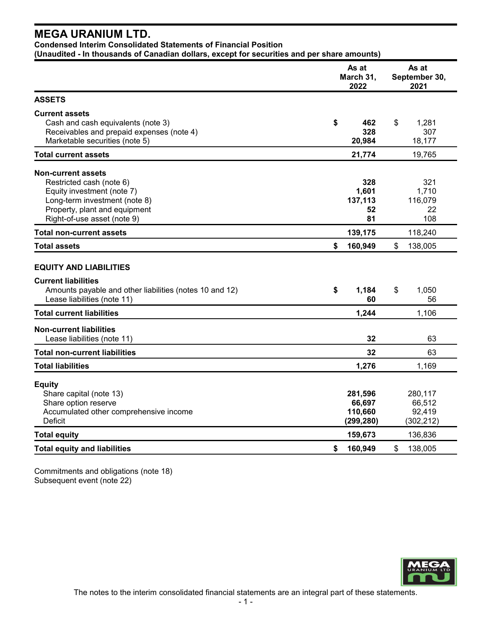**Condensed Interim Consolidated Statements of Financial Position**

**(Unaudited - In thousands of Canadian dollars, except for securities and per share amounts)**

|                                                                                                                                                                                      | As at<br>March 31,<br>2022                 | As at<br>September 30,<br>2021            |
|--------------------------------------------------------------------------------------------------------------------------------------------------------------------------------------|--------------------------------------------|-------------------------------------------|
| <b>ASSETS</b>                                                                                                                                                                        |                                            |                                           |
| <b>Current assets</b><br>Cash and cash equivalents (note 3)<br>Receivables and prepaid expenses (note 4)<br>Marketable securities (note 5)                                           | \$<br>462<br>328<br>20,984                 | \$<br>1,281<br>307<br>18,177              |
| <b>Total current assets</b>                                                                                                                                                          | 21,774                                     | 19,765                                    |
| <b>Non-current assets</b><br>Restricted cash (note 6)<br>Equity investment (note 7)<br>Long-term investment (note 8)<br>Property, plant and equipment<br>Right-of-use asset (note 9) | 328<br>1,601<br>137,113<br>52<br>81        | 321<br>1,710<br>116,079<br>22<br>108      |
| <b>Total non-current assets</b>                                                                                                                                                      | 139,175                                    | 118,240                                   |
| <b>Total assets</b>                                                                                                                                                                  | 160,949<br>\$                              | \$<br>138,005                             |
| <b>EQUITY AND LIABILITIES</b>                                                                                                                                                        |                                            |                                           |
| <b>Current liabilities</b><br>Amounts payable and other liabilities (notes 10 and 12)<br>Lease liabilities (note 11)                                                                 | \$<br>1,184<br>60                          | \$<br>1,050<br>56                         |
| <b>Total current liabilities</b>                                                                                                                                                     | 1,244                                      | 1,106                                     |
| <b>Non-current liabilities</b><br>Lease liabilities (note 11)                                                                                                                        | 32                                         | 63                                        |
| <b>Total non-current liabilities</b>                                                                                                                                                 | 32                                         | 63                                        |
| <b>Total liabilities</b>                                                                                                                                                             | 1,276                                      | 1,169                                     |
| <b>Equity</b><br>Share capital (note 13)<br>Share option reserve<br>Accumulated other comprehensive income<br><b>Deficit</b>                                                         | 281,596<br>66,697<br>110,660<br>(299, 280) | 280,117<br>66,512<br>92,419<br>(302, 212) |
| <b>Total equity</b>                                                                                                                                                                  | 159,673                                    | 136,836                                   |
| <b>Total equity and liabilities</b>                                                                                                                                                  | 160,949<br>\$                              | 138,005<br>\$                             |

Commitments and obligations (note 18) Subsequent event (note 22)

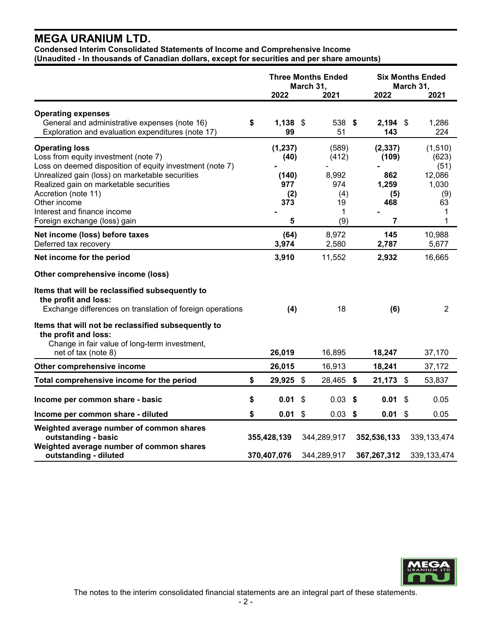**Condensed Interim Consolidated Statements of Income and Comprehensive Income (Unaudited - In thousands of Canadian dollars, except for securities and per share amounts)**

|                                                                                                                                                                                                                                                                                                                              |          | <b>Three Months Ended</b><br>March 31,<br>2022<br>2021 |          |                                                         | 2022     | <b>Six Months Ended</b><br>March 31,<br>2021         |                                 |                                                                     |
|------------------------------------------------------------------------------------------------------------------------------------------------------------------------------------------------------------------------------------------------------------------------------------------------------------------------------|----------|--------------------------------------------------------|----------|---------------------------------------------------------|----------|------------------------------------------------------|---------------------------------|---------------------------------------------------------------------|
| <b>Operating expenses</b><br>General and administrative expenses (note 16)<br>Exploration and evaluation expenditures (note 17)                                                                                                                                                                                              | \$       | $1,138$ \$<br>99                                       |          | 538<br>51                                               | S.       | $2,194$ \$<br>143                                    |                                 | 1,286<br>224                                                        |
| <b>Operating loss</b><br>Loss from equity investment (note 7)<br>Loss on deemed disposition of equity investment (note 7)<br>Unrealized gain (loss) on marketable securities<br>Realized gain on marketable securities<br>Accretion (note 11)<br>Other income<br>Interest and finance income<br>Foreign exchange (loss) gain |          | (1, 237)<br>(40)<br>(140)<br>977<br>(2)<br>373<br>5    |          | (589)<br>(412)<br>8,992<br>974<br>(4)<br>19<br>1<br>(9) |          | (2, 337)<br>(109)<br>862<br>1,259<br>(5)<br>468<br>7 |                                 | (1, 510)<br>(623)<br>(51)<br>12,086<br>1,030<br>(9)<br>63<br>1<br>1 |
| Net income (loss) before taxes<br>Deferred tax recovery                                                                                                                                                                                                                                                                      |          | (64)<br>3,974                                          |          | 8,972<br>2,580                                          |          | 145<br>2,787                                         |                                 | 10,988<br>5,677                                                     |
| Net income for the period                                                                                                                                                                                                                                                                                                    |          | 3,910                                                  |          | 11,552                                                  |          | 2,932                                                |                                 | 16,665                                                              |
| Other comprehensive income (loss)<br>Items that will be reclassified subsequently to<br>the profit and loss:<br>Exchange differences on translation of foreign operations                                                                                                                                                    |          | (4)                                                    |          | 18                                                      |          | (6)                                                  |                                 | $\overline{2}$                                                      |
| Items that will not be reclassified subsequently to<br>the profit and loss:<br>Change in fair value of long-term investment,<br>net of tax (note 8)                                                                                                                                                                          |          | 26,019                                                 |          | 16,895                                                  |          | 18,247                                               |                                 | 37,170                                                              |
| Other comprehensive income                                                                                                                                                                                                                                                                                                   |          | 26,015                                                 |          | 16,913                                                  |          | 18,241                                               |                                 | 37,172                                                              |
| Total comprehensive income for the period                                                                                                                                                                                                                                                                                    | \$       | 29,925 \$                                              |          | 28,465                                                  | \$       | 21,173 \$                                            |                                 | 53,837                                                              |
| Income per common share - basic<br>Income per common share - diluted                                                                                                                                                                                                                                                         | \$<br>\$ | 0.01<br>0.01                                           | \$<br>\$ | 0.03<br>0.03                                            | \$<br>\$ | 0.01<br>0.01                                         | \$<br>$\boldsymbol{\mathsf{S}}$ | 0.05<br>0.05                                                        |
| Weighted average number of common shares<br>outstanding - basic<br>Weighted average number of common shares                                                                                                                                                                                                                  |          | 355,428,139                                            |          | 344,289,917                                             |          | 352,536,133                                          |                                 | 339, 133, 474                                                       |
| outstanding - diluted                                                                                                                                                                                                                                                                                                        |          | 370,407,076                                            |          | 344,289,917                                             |          | 367,267,312                                          |                                 | 339, 133, 474                                                       |

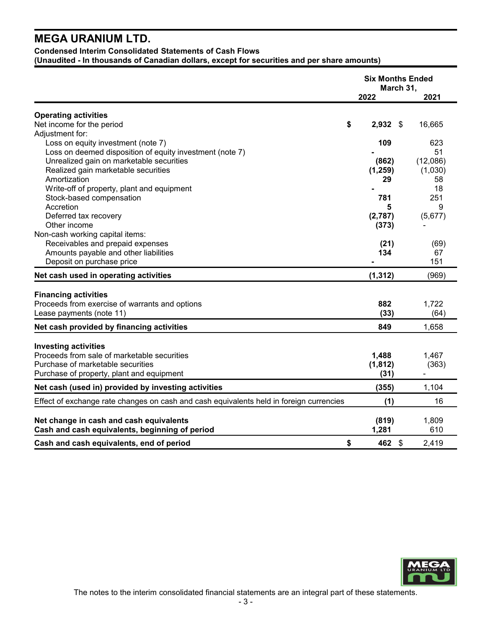**Condensed Interim Consolidated Statements of Cash Flows**

**(Unaudited - In thousands of Canadian dollars, except for securities and per share amounts)**

|                                                                                         |                  | <b>Six Months Ended</b><br>March 31, |              |  |  |  |
|-----------------------------------------------------------------------------------------|------------------|--------------------------------------|--------------|--|--|--|
|                                                                                         | 2022             |                                      | 2021         |  |  |  |
|                                                                                         |                  |                                      |              |  |  |  |
| <b>Operating activities</b><br>Net income for the period                                | \$<br>$2,932$ \$ |                                      | 16,665       |  |  |  |
| Adjustment for:                                                                         |                  |                                      |              |  |  |  |
| Loss on equity investment (note 7)                                                      | 109              |                                      | 623          |  |  |  |
| Loss on deemed disposition of equity investment (note 7)                                |                  |                                      | 51           |  |  |  |
| Unrealized gain on marketable securities                                                | (862)            |                                      | (12,086)     |  |  |  |
| Realized gain marketable securities                                                     | (1, 259)         |                                      | (1,030)      |  |  |  |
| Amortization                                                                            | 29               |                                      | 58           |  |  |  |
| Write-off of property, plant and equipment                                              |                  |                                      | 18           |  |  |  |
| Stock-based compensation                                                                | 781              |                                      | 251          |  |  |  |
| Accretion                                                                               | 5                |                                      | 9            |  |  |  |
| Deferred tax recovery                                                                   | (2,787)          |                                      | (5,677)      |  |  |  |
| Other income                                                                            | (373)            |                                      |              |  |  |  |
| Non-cash working capital items:                                                         |                  |                                      |              |  |  |  |
| Receivables and prepaid expenses                                                        | (21)             |                                      | (69)         |  |  |  |
| Amounts payable and other liabilities                                                   | 134              |                                      | 67           |  |  |  |
| Deposit on purchase price                                                               |                  |                                      | 151          |  |  |  |
| Net cash used in operating activities                                                   | (1, 312)         |                                      | (969)        |  |  |  |
|                                                                                         |                  |                                      |              |  |  |  |
| <b>Financing activities</b>                                                             |                  |                                      |              |  |  |  |
| Proceeds from exercise of warrants and options                                          | 882              |                                      | 1,722        |  |  |  |
| Lease payments (note 11)                                                                | (33)             |                                      | (64)         |  |  |  |
| Net cash provided by financing activities                                               | 849              |                                      | 1,658        |  |  |  |
| <b>Investing activities</b>                                                             |                  |                                      |              |  |  |  |
| Proceeds from sale of marketable securities                                             | 1,488            |                                      | 1,467        |  |  |  |
| Purchase of marketable securities                                                       | (1, 812)         |                                      | (363)        |  |  |  |
| Purchase of property, plant and equipment                                               | (31)             |                                      |              |  |  |  |
|                                                                                         |                  |                                      |              |  |  |  |
| Net cash (used in) provided by investing activities                                     | (355)            |                                      | 1,104        |  |  |  |
| Effect of exchange rate changes on cash and cash equivalents held in foreign currencies | (1)              |                                      | 16           |  |  |  |
|                                                                                         |                  |                                      |              |  |  |  |
| Net change in cash and cash equivalents                                                 | (819)<br>1,281   |                                      | 1,809<br>610 |  |  |  |
| Cash and cash equivalents, beginning of period                                          |                  |                                      |              |  |  |  |
| Cash and cash equivalents, end of period                                                | \$<br>462 \$     |                                      | 2,419        |  |  |  |



The notes to the interim consolidated financial statements are an integral part of these statements.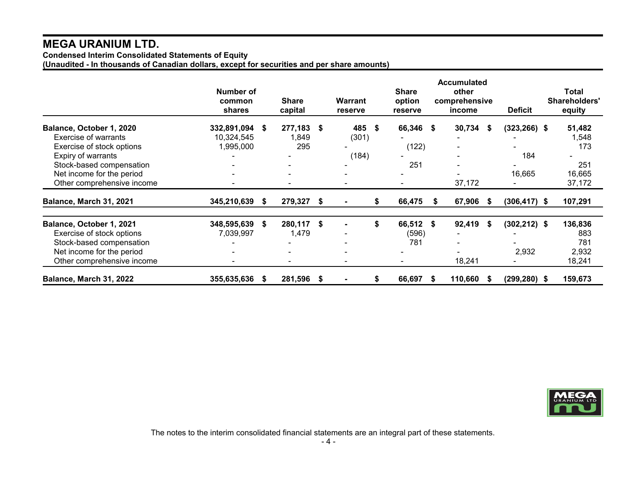**Condensed Interim Consolidated Statements of Equity**

**(Unaudited - In thousands of Canadian dollars, except for securities and per share amounts)**

|                            | Number of<br>common<br>shares |      | <b>Share</b><br>capital | <b>Warrant</b><br>reserve | <b>Share</b><br>option<br>reserve |      | <b>Accumulated</b><br>other<br>comprehensive<br>income |    | <b>Deficit</b>  | Total<br>Shareholders'<br>equity |
|----------------------------|-------------------------------|------|-------------------------|---------------------------|-----------------------------------|------|--------------------------------------------------------|----|-----------------|----------------------------------|
| Balance, October 1, 2020   | 332,891,094 \$                |      | 277,183                 | \$<br>485                 | \$<br>66,346 \$                   |      | 30,734                                                 | S. | $(323, 266)$ \$ | 51,482                           |
| Exercise of warrants       | 10,324,545                    |      | 1,849                   | (301)                     |                                   |      |                                                        |    |                 | 1,548                            |
| Exercise of stock options  | 1,995,000                     |      | 295                     |                           | (122)                             |      |                                                        |    |                 | 173                              |
| Expiry of warrants         |                               |      |                         | (184)                     |                                   |      |                                                        |    | 184             |                                  |
| Stock-based compensation   |                               |      |                         |                           | 251                               |      |                                                        |    |                 | 251                              |
| Net income for the period  |                               |      |                         |                           |                                   |      |                                                        |    | 16,665          | 16,665                           |
| Other comprehensive income |                               |      |                         | ۰                         |                                   |      | 37,172                                                 |    |                 | 37,172                           |
| Balance, March 31, 2021    | 345,210,639                   | S.   | 279,327 \$              | $\blacksquare$            | \$<br>66,475                      | S.   | 67,906                                                 | -S | $(306, 417)$ \$ | 107,291                          |
| Balance, October 1, 2021   | 348,595,639 \$                |      | 280,117 \$              | $\blacksquare$            | \$<br>66,512 \$                   |      | 92,419                                                 | \$ | $(302, 212)$ \$ | 136,836                          |
| Exercise of stock options  | 7,039,997                     |      | 1,479                   | $\overline{\phantom{a}}$  | (596)                             |      |                                                        |    |                 | 883                              |
| Stock-based compensation   |                               |      |                         |                           | 781                               |      |                                                        |    |                 | 781                              |
| Net income for the period  |                               |      |                         |                           |                                   |      |                                                        |    | 2,932           | 2,932                            |
| Other comprehensive income |                               |      |                         | $\overline{\phantom{a}}$  |                                   |      | 18,241                                                 |    |                 | 18,241                           |
| Balance, March 31, 2022    | 355,635,636                   | - \$ | 281,596 \$              |                           | \$<br>66,697                      | - 56 | 110,660                                                | -S | $(299, 280)$ \$ | 159,673                          |



The notes to the interim consolidated financial statements are an integral part of these statements.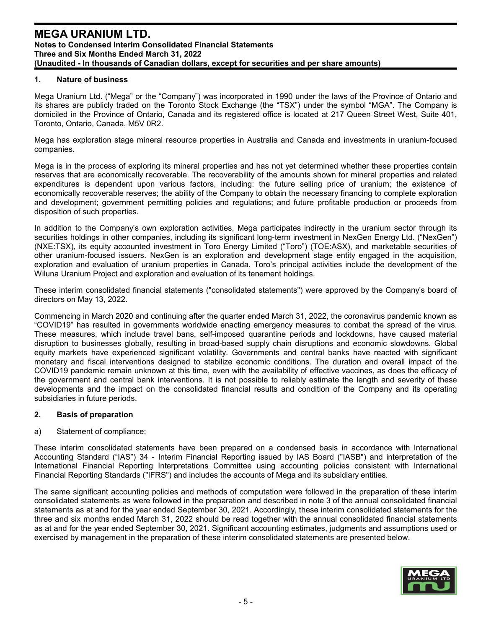#### **1. Nature of business**

Mega Uranium Ltd. ("Mega" or the "Company") was incorporated in 1990 under the laws of the Province of Ontario and its shares are publicly traded on the Toronto Stock Exchange (the "TSX") under the symbol "MGA". The Company is domiciled in the Province of Ontario, Canada and its registered office is located at 217 Queen Street West, Suite 401, Toronto, Ontario, Canada, M5V 0R2.

Mega has exploration stage mineral resource properties in Australia and Canada and investments in uranium-focused companies.

Mega is in the process of exploring its mineral properties and has not yet determined whether these properties contain reserves that are economically recoverable. The recoverability of the amounts shown for mineral properties and related expenditures is dependent upon various factors, including: the future selling price of uranium; the existence of economically recoverable reserves; the ability of the Company to obtain the necessary financing to complete exploration and development; government permitting policies and regulations; and future profitable production or proceeds from disposition of such properties.

In addition to the Company's own exploration activities, Mega participates indirectly in the uranium sector through its securities holdings in other companies, including its significant long-term investment in NexGen Energy Ltd. ("NexGen") (NXE:TSX), its equity accounted investment in Toro Energy Limited ("Toro") (TOE:ASX), and marketable securities of other uranium-focused issuers. NexGen is an exploration and development stage entity engaged in the acquisition, exploration and evaluation of uranium properties in Canada. Toro's principal activities include the development of the Wiluna Uranium Project and exploration and evaluation of its tenement holdings.

These interim consolidated financial statements ("consolidated statements") were approved by the Company's board of directors on May 13, 2022.

Commencing in March 2020 and continuing after the quarter ended March 31, 2022, the coronavirus pandemic known as "COVID19" has resulted in governments worldwide enacting emergency measures to combat the spread of the virus. These measures, which include travel bans, self-imposed quarantine periods and lockdowns, have caused material disruption to businesses globally, resulting in broad-based supply chain disruptions and economic slowdowns. Global equity markets have experienced significant volatility. Governments and central banks have reacted with significant monetary and fiscal interventions designed to stabilize economic conditions. The duration and overall impact of the COVID19 pandemic remain unknown at this time, even with the availability of effective vaccines, as does the efficacy of the government and central bank interventions. It is not possible to reliably estimate the length and severity of these developments and the impact on the consolidated financial results and condition of the Company and its operating subsidiaries in future periods.

#### **2. Basis of preparation**

#### a) Statement of compliance:

These interim consolidated statements have been prepared on a condensed basis in accordance with International Accounting Standard ("IAS") 34 - Interim Financial Reporting issued by IAS Board ("IASB") and interpretation of the International Financial Reporting Interpretations Committee using accounting policies consistent with International Financial Reporting Standards ("IFRS") and includes the accounts of Mega and its subsidiary entities.

The same significant accounting policies and methods of computation were followed in the preparation of these interim consolidated statements as were followed in the preparation and described in note 3 of the annual consolidated financial statements as at and for the year ended September 30, 2021. Accordingly, these interim consolidated statements for the three and six months ended March 31, 2022 should be read together with the annual consolidated financial statements as at and for the year ended September 30, 2021. Significant accounting estimates, judgments and assumptions used or exercised by management in the preparation of these interim consolidated statements are presented below.

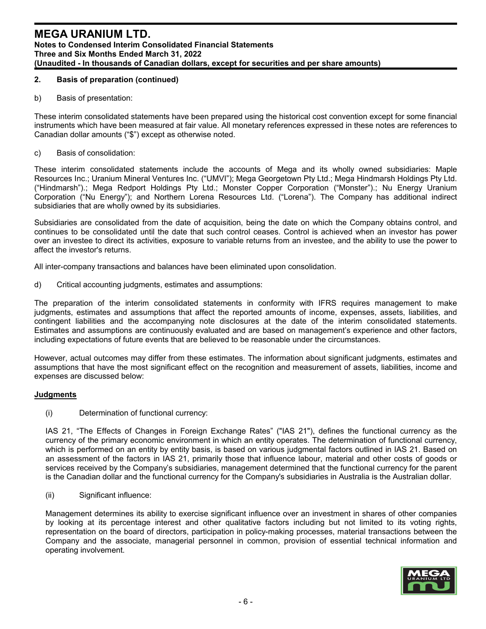### **2. Basis of preparation (continued)**

b) Basis of presentation:

These interim consolidated statements have been prepared using the historical cost convention except for some financial instruments which have been measured at fair value. All monetary references expressed in these notes are references to Canadian dollar amounts ("\$") except as otherwise noted.

c) Basis of consolidation:

These interim consolidated statements include the accounts of Mega and its wholly owned subsidiaries: Maple Resources Inc.; Uranium Mineral Ventures Inc. ("UMVI"); Mega Georgetown Pty Ltd.; Mega Hindmarsh Holdings Pty Ltd. ("Hindmarsh").; Mega Redport Holdings Pty Ltd.; Monster Copper Corporation ("Monster").; Nu Energy Uranium Corporation ("Nu Energy"); and Northern Lorena Resources Ltd. ("Lorena"). The Company has additional indirect subsidiaries that are wholly owned by its subsidiaries.

Subsidiaries are consolidated from the date of acquisition, being the date on which the Company obtains control, and continues to be consolidated until the date that such control ceases. Control is achieved when an investor has power over an investee to direct its activities, exposure to variable returns from an investee, and the ability to use the power to affect the investor's returns.

All inter-company transactions and balances have been eliminated upon consolidation.

d) Critical accounting judgments, estimates and assumptions:

The preparation of the interim consolidated statements in conformity with IFRS requires management to make judgments, estimates and assumptions that affect the reported amounts of income, expenses, assets, liabilities, and contingent liabilities and the accompanying note disclosures at the date of the interim consolidated statements. Estimates and assumptions are continuously evaluated and are based on management's experience and other factors, including expectations of future events that are believed to be reasonable under the circumstances.

However, actual outcomes may differ from these estimates. The information about significant judgments, estimates and assumptions that have the most significant effect on the recognition and measurement of assets, liabilities, income and expenses are discussed below:

### **Judgments**

(i) Determination of functional currency:

IAS 21, "The Effects of Changes in Foreign Exchange Rates" ("IAS 21"), defines the functional currency as the currency of the primary economic environment in which an entity operates. The determination of functional currency, which is performed on an entity by entity basis, is based on various judgmental factors outlined in IAS 21. Based on an assessment of the factors in IAS 21, primarily those that influence labour, material and other costs of goods or services received by the Company's subsidiaries, management determined that the functional currency for the parent is the Canadian dollar and the functional currency for the Company's subsidiaries in Australia is the Australian dollar.

(ii) Significant influence:

Management determines its ability to exercise significant influence over an investment in shares of other companies by looking at its percentage interest and other qualitative factors including but not limited to its voting rights, representation on the board of directors, participation in policy-making processes, material transactions between the Company and the associate, managerial personnel in common, provision of essential technical information and operating involvement.

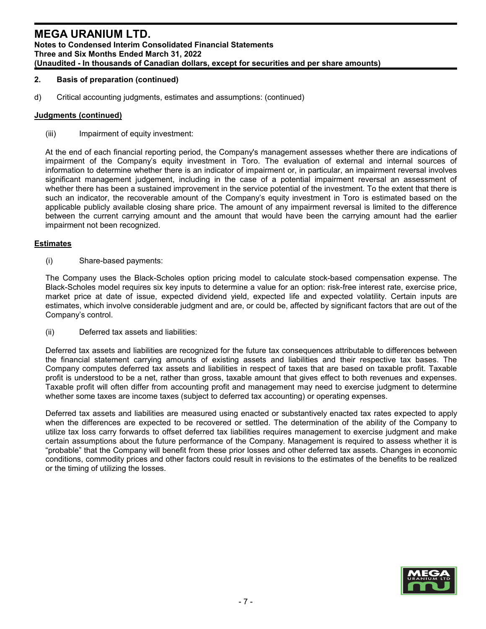#### **2. Basis of preparation (continued)**

d) Critical accounting judgments, estimates and assumptions: (continued)

#### **Judgments (continued)**

(iii) Impairment of equity investment:

At the end of each financial reporting period, the Company's management assesses whether there are indications of impairment of the Company's equity investment in Toro. The evaluation of external and internal sources of information to determine whether there is an indicator of impairment or, in particular, an impairment reversal involves significant management judgement, including in the case of a potential impairment reversal an assessment of whether there has been a sustained improvement in the service potential of the investment. To the extent that there is such an indicator, the recoverable amount of the Company's equity investment in Toro is estimated based on the applicable publicly available closing share price. The amount of any impairment reversal is limited to the difference between the current carrying amount and the amount that would have been the carrying amount had the earlier impairment not been recognized.

#### **Estimates**

(i) Share-based payments:

The Company uses the Black-Scholes option pricing model to calculate stock-based compensation expense. The Black-Scholes model requires six key inputs to determine a value for an option: risk-free interest rate, exercise price, market price at date of issue, expected dividend yield, expected life and expected volatility. Certain inputs are estimates, which involve considerable judgment and are, or could be, affected by significant factors that are out of the Company's control.

(ii) Deferred tax assets and liabilities:

Deferred tax assets and liabilities are recognized for the future tax consequences attributable to differences between the financial statement carrying amounts of existing assets and liabilities and their respective tax bases. The Company computes deferred tax assets and liabilities in respect of taxes that are based on taxable profit. Taxable profit is understood to be a net, rather than gross, taxable amount that gives effect to both revenues and expenses. Taxable profit will often differ from accounting profit and management may need to exercise judgment to determine whether some taxes are income taxes (subject to deferred tax accounting) or operating expenses.

Deferred tax assets and liabilities are measured using enacted or substantively enacted tax rates expected to apply when the differences are expected to be recovered or settled. The determination of the ability of the Company to utilize tax loss carry forwards to offset deferred tax liabilities requires management to exercise judgment and make certain assumptions about the future performance of the Company. Management is required to assess whether it is "probable" that the Company will benefit from these prior losses and other deferred tax assets. Changes in economic conditions, commodity prices and other factors could result in revisions to the estimates of the benefits to be realized or the timing of utilizing the losses.

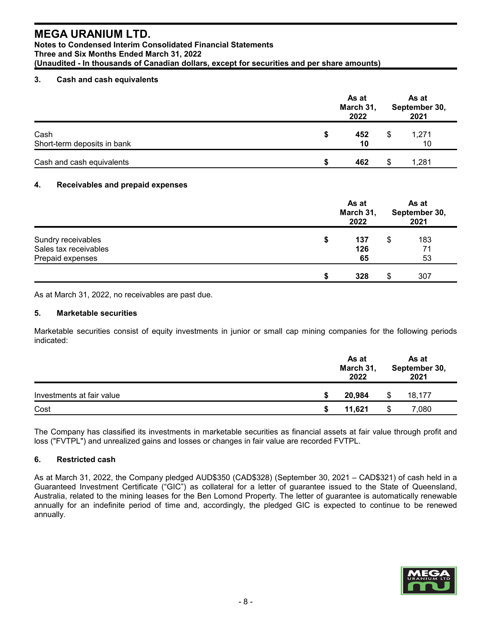#### **Notes to Condensed Interim Consolidated Financial Statements Three and Six Months Ended March 31, 2022 (Unaudited - In thousands of Canadian dollars, except for securities and per share amounts)**

#### **3. Cash and cash equivalents**

|                             |   | As at<br>March 31,<br>2022 | As at<br>September 30,<br>2021 |
|-----------------------------|---|----------------------------|--------------------------------|
| Cash                        | S | 452                        | 1,271                          |
| Short-term deposits in bank |   | 10                         | 10                             |
| Cash and cash equivalents   |   | 462                        | 1,281                          |

#### **4. Receivables and prepaid expenses**

|                                                                 | As at<br>March 31,<br>2022 |   | As at<br>September 30,<br>2021 |
|-----------------------------------------------------------------|----------------------------|---|--------------------------------|
| Sundry receivables<br>Sales tax receivables<br>Prepaid expenses | \$<br>137<br>126<br>65     | S | 183<br>71<br>53                |
|                                                                 | 328                        | S | 307                            |

As at March 31, 2022, no receivables are past due.

#### **5. Marketable securities**

Marketable securities consist of equity investments in junior or small cap mining companies for the following periods indicated:

|                           | As at<br>March 31,<br>2022 |   | As at<br>September 30,<br>2021 |
|---------------------------|----------------------------|---|--------------------------------|
| Investments at fair value | 20,984                     |   | 18.177                         |
| Cost                      | 11,621                     | Ψ | 7,080                          |

The Company has classified its investments in marketable securities as financial assets at fair value through profit and loss ("FVTPL") and unrealized gains and losses or changes in fair value are recorded FVTPL.

#### **6. Restricted cash**

As at March 31, 2022, the Company pledged AUD\$350 (CAD\$328) (September 30, 2021 – CAD\$321) of cash held in a Guaranteed Investment Certificate ("GIC") as collateral for a letter of guarantee issued to the State of Queensland, Australia, related to the mining leases for the Ben Lomond Property. The letter of guarantee is automatically renewable annually for an indefinite period of time and, accordingly, the pledged GIC is expected to continue to be renewed annually.

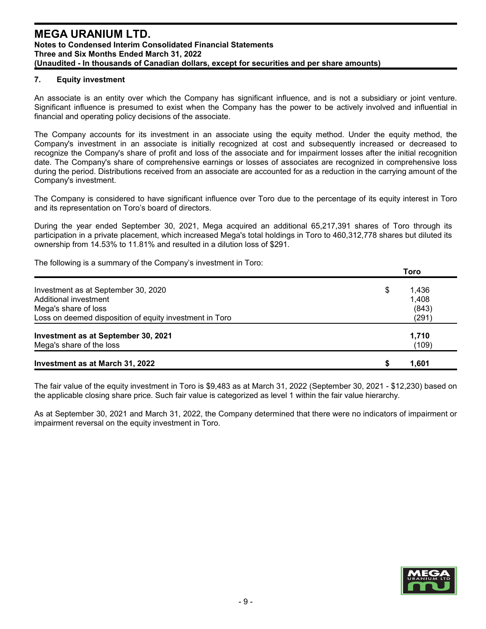#### **7. Equity investment**

An associate is an entity over which the Company has significant influence, and is not a subsidiary or joint venture. Significant influence is presumed to exist when the Company has the power to be actively involved and influential in financial and operating policy decisions of the associate.

The Company accounts for its investment in an associate using the equity method. Under the equity method, the Company's investment in an associate is initially recognized at cost and subsequently increased or decreased to recognize the Company's share of profit and loss of the associate and for impairment losses after the initial recognition date. The Company's share of comprehensive earnings or losses of associates are recognized in comprehensive loss during the period. Distributions received from an associate are accounted for as a reduction in the carrying amount of the Company's investment.

The Company is considered to have significant influence over Toro due to the percentage of its equity interest in Toro and its representation on Toro's board of directors.

During the year ended September 30, 2021, Mega acquired an additional 65,217,391 shares of Toro through its participation in a private placement, which increased Mega's total holdings in Toro to 460,312,778 shares but diluted its ownership from 14.53% to 11.81% and resulted in a dilution loss of \$291.

The following is a summary of the Company's investment in Toro:

|                                                         | TUIU        |  |
|---------------------------------------------------------|-------------|--|
| Investment as at September 30, 2020                     | \$<br>1,436 |  |
| Additional investment                                   | 1,408       |  |
| Mega's share of loss                                    | (843)       |  |
| Loss on deemed disposition of equity investment in Toro | (291)       |  |
| Investment as at September 30, 2021                     | 1,710       |  |
| Mega's share of the loss                                | (109)       |  |
| Investment as at March 31, 2022                         | 1.601<br>S  |  |

The fair value of the equity investment in Toro is \$9,483 as at March 31, 2022 (September 30, 2021 - \$12,230) based on the applicable closing share price. Such fair value is categorized as level 1 within the fair value hierarchy.

As at September 30, 2021 and March 31, 2022, the Company determined that there were no indicators of impairment or impairment reversal on the equity investment in Toro.



**Toro**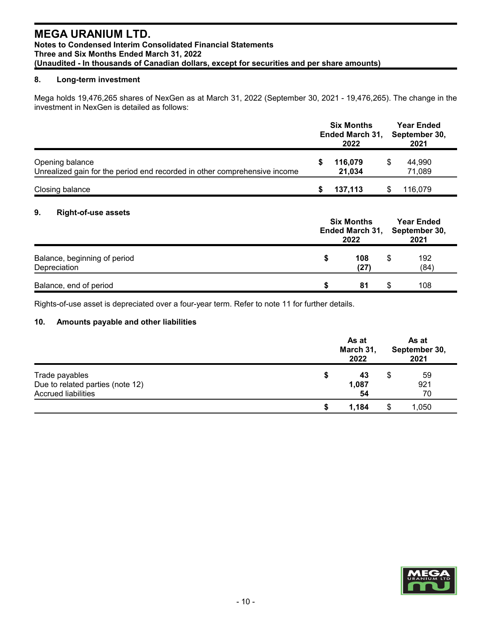### **8. Long-term investment**

Mega holds 19,476,265 shares of NexGen as at March 31, 2022 (September 30, 2021 - 19,476,265). The change in the investment in NexGen is detailed as follows:

|                                                                                              | <b>Six Months</b><br><b>Ended March 31,</b><br>2022 | <b>Year Ended</b><br>September 30,<br>2021 |
|----------------------------------------------------------------------------------------------|-----------------------------------------------------|--------------------------------------------|
| Opening balance<br>Unrealized gain for the period end recorded in other comprehensive income | 116,079<br>21,034                                   | 44,990<br>71,089                           |
| Closing balance                                                                              | 137.113                                             | 116.079                                    |

### **9. Right-of-use assets**

|                                              | <b>Six Months</b><br>Ended March 31, September 30,<br>2022 |   |             |  |  |
|----------------------------------------------|------------------------------------------------------------|---|-------------|--|--|
| Balance, beginning of period<br>Depreciation | 108<br>(27)                                                | S | 192<br>(84) |  |  |
| Balance, end of period                       | 81                                                         | S | 108         |  |  |

Rights-of-use asset is depreciated over a four-year term. Refer to note 11 for further details.

## **10. Amounts payable and other liabilities**

|                                  |   | As at<br>March 31,<br>2022 | As at<br>September 30,<br>2021 |       |  |
|----------------------------------|---|----------------------------|--------------------------------|-------|--|
| Trade payables                   | S | 43                         | \$                             | 59    |  |
| Due to related parties (note 12) |   | 1,087                      |                                | 921   |  |
| <b>Accrued liabilities</b>       |   | 54                         |                                | 70    |  |
|                                  |   | 1.184                      | S                              | 1,050 |  |

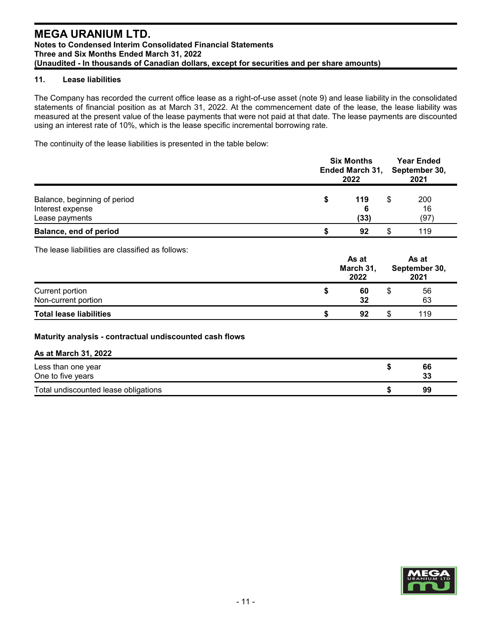#### **11. Lease liabilities**

The Company has recorded the current office lease as a right-of-use asset (note 9) and lease liability in the consolidated statements of financial position as at March 31, 2022. At the commencement date of the lease, the lease liability was measured at the present value of the lease payments that were not paid at that date. The lease payments are discounted using an interest rate of 10%, which is the lease specific incremental borrowing rate.

The continuity of the lease liabilities is presented in the table below:

|                                                                    | <b>Six Months</b><br><b>Ended March 31,</b><br>September 30,<br>2022 |  |                   |  |
|--------------------------------------------------------------------|----------------------------------------------------------------------|--|-------------------|--|
| Balance, beginning of period<br>Interest expense<br>Lease payments | 119<br>6<br>(33)                                                     |  | 200<br>16<br>(97) |  |
| Balance, end of period                                             | 92                                                                   |  | 119               |  |

The lease liabilities are classified as follows:

|                                | As at<br>March 31,<br>2022 |   | As at<br>September 30,<br>2021 |
|--------------------------------|----------------------------|---|--------------------------------|
| Current portion                | 60                         | S | 56                             |
| Non-current portion            | 32                         |   | 63                             |
| <b>Total lease liabilities</b> | 92                         | S | 119                            |

### **Maturity analysis - contractual undiscounted cash flows**

| <b>As at March 31, 2022</b>             |          |
|-----------------------------------------|----------|
| Less than one year<br>One to five years | 66<br>33 |
| Total undiscounted lease obligations    | 99       |

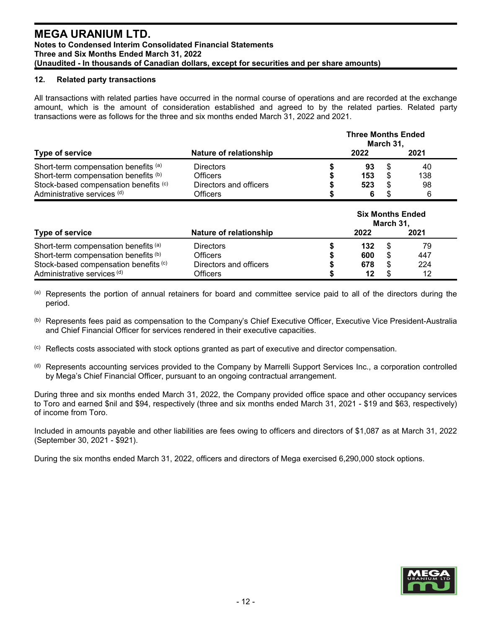#### **12. Related party transactions**

All transactions with related parties have occurred in the normal course of operations and are recorded at the exchange amount, which is the amount of consideration established and agreed to by the related parties. Related party transactions were as follows for the three and six months ended March 31, 2022 and 2021.

|                                       |                        |        | <b>Three Months Ended</b><br>March 31, |     |      |  |
|---------------------------------------|------------------------|--------|----------------------------------------|-----|------|--|
| Type of service                       | Nature of relationship |        | 2022                                   |     | 2021 |  |
| Short-term compensation benefits (a)  | <b>Directors</b>       |        | 93                                     | \$  | 40   |  |
| Short-term compensation benefits (b)  | <b>Officers</b>        |        | 153                                    | \$  | 138  |  |
| Stock-based compensation benefits (c) | Directors and officers |        | 523                                    |     | 98   |  |
| Administrative services (d)           | <b>Officers</b>        | 6<br>6 |                                        |     |      |  |
|                                       |                        |        | <b>Six Months Ended</b><br>March 31,   |     |      |  |
| <b>Type of service</b>                | Nature of relationship |        | 2022                                   |     | 2021 |  |
| Short-term compensation benefits (a)  | <b>Directors</b>       |        | 132                                    | S   | 79   |  |
| Short-term compensation benefits (b)  | Officers               |        | 600                                    | \$. | 447  |  |

(a) Represents the portion of annual retainers for board and committee service paid to all of the directors during the period.

Stock-based compensation benefits (c) Directors and officers **\$ 678** \$ 224 Administrative services (d) Officers **\$ 12** \$ 12

(b) Represents fees paid as compensation to the Company's Chief Executive Officer, Executive Vice President-Australia and Chief Financial Officer for services rendered in their executive capacities.

- $(c)$  Reflects costs associated with stock options granted as part of executive and director compensation.
- (d) Represents accounting services provided to the Company by Marrelli Support Services Inc., a corporation controlled by Mega's Chief Financial Officer, pursuant to an ongoing contractual arrangement.

During three and six months ended March 31, 2022, the Company provided office space and other occupancy services to Toro and earned \$nil and \$94, respectively (three and six months ended March 31, 2021 - \$19 and \$63, respectively) of income from Toro.

Included in amounts payable and other liabilities are fees owing to officers and directors of \$1,087 as at March 31, 2022 (September 30, 2021 - \$921).

During the six months ended March 31, 2022, officers and directors of Mega exercised 6,290,000 stock options.

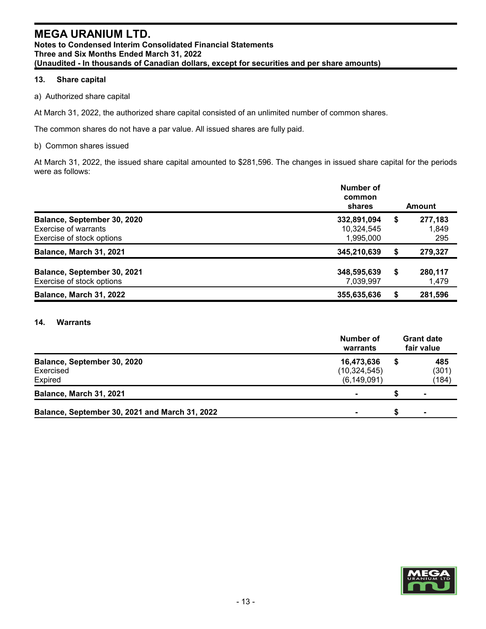## **13. Share capital**

a) Authorized share capital

At March 31, 2022, the authorized share capital consisted of an unlimited number of common shares.

The common shares do not have a par value. All issued shares are fully paid.

#### b) Common shares issued

At March 31, 2022, the issued share capital amounted to \$281,596. The changes in issued share capital for the periods were as follows:

|                                                                                  | Number of<br>common<br>shares<br>Amount |    |                         |  |  |  |  |
|----------------------------------------------------------------------------------|-----------------------------------------|----|-------------------------|--|--|--|--|
| Balance, September 30, 2020<br>Exercise of warrants<br>Exercise of stock options | 332,891,094<br>10,324,545<br>1,995,000  | S  | 277,183<br>1,849<br>295 |  |  |  |  |
| <b>Balance, March 31, 2021</b>                                                   | 345,210,639                             | \$ | 279,327                 |  |  |  |  |
| Balance, September 30, 2021<br>Exercise of stock options                         | 348,595,639<br>7,039,997                | S. | 280,117<br>1,479        |  |  |  |  |
| Balance, March 31, 2022                                                          | 355,635,636                             | \$ | 281,596                 |  |  |  |  |

#### **14. Warrants**

|                                                     | Number of<br>warrants                         | <b>Grant date</b><br>fair value |                       |  |
|-----------------------------------------------------|-----------------------------------------------|---------------------------------|-----------------------|--|
| Balance, September 30, 2020<br>Exercised<br>Expired | 16,473,636<br>(10, 324, 545)<br>(6, 149, 091) | S                               | 485<br>(301)<br>(184) |  |
| Balance, March 31, 2021                             |                                               |                                 |                       |  |
| Balance, September 30, 2021 and March 31, 2022      |                                               |                                 |                       |  |

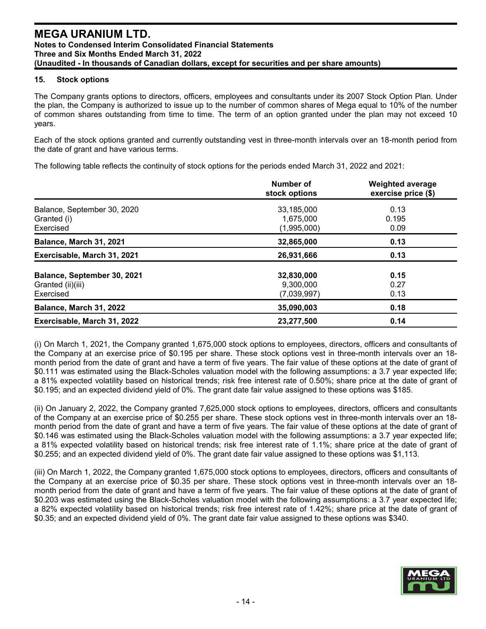#### **15. Stock options**

The Company grants options to directors, officers, employees and consultants under its 2007 Stock Option Plan. Under the plan, the Company is authorized to issue up to the number of common shares of Mega equal to 10% of the number of common shares outstanding from time to time. The term of an option granted under the plan may not exceed 10 years.

Each of the stock options granted and currently outstanding vest in three-month intervals over an 18-month period from the date of grant and have various terms.

The following table reflects the continuity of stock options for the periods ended March 31, 2022 and 2021:

|                                                               | Number of<br>stock options             | <b>Weighted average</b><br>exercise price (\$) |
|---------------------------------------------------------------|----------------------------------------|------------------------------------------------|
| Balance, September 30, 2020<br>Granted (i)<br>Exercised       | 33,185,000<br>1,675,000<br>(1,995,000) | 0.13<br>0.195<br>0.09                          |
| Balance, March 31, 2021                                       | 32,865,000                             | 0.13                                           |
| Exercisable, March 31, 2021                                   | 26,931,666                             | 0.13                                           |
| Balance, September 30, 2021<br>Granted (ii)(iii)<br>Exercised | 32,830,000<br>9,300,000<br>(7,039,997) | 0.15<br>0.27<br>0.13                           |
| Balance, March 31, 2022                                       | 35,090,003                             | 0.18                                           |
| Exercisable, March 31, 2022                                   | 23,277,500                             | 0.14                                           |

(i) On March 1, 2021, the Company granted 1,675,000 stock options to employees, directors, officers and consultants of the Company at an exercise price of \$0.195 per share. These stock options vest in three-month intervals over an 18 month period from the date of grant and have a term of five years. The fair value of these options at the date of grant of \$0.111 was estimated using the Black-Scholes valuation model with the following assumptions: a 3.7 year expected life; a 81% expected volatility based on historical trends; risk free interest rate of 0.50%; share price at the date of grant of \$0.195; and an expected dividend yield of 0%. The grant date fair value assigned to these options was \$185.

(ii) On January 2, 2022, the Company granted 7,625,000 stock options to employees, directors, officers and consultants of the Company at an exercise price of \$0.255 per share. These stock options vest in three-month intervals over an 18 month period from the date of grant and have a term of five years. The fair value of these options at the date of grant of \$0.146 was estimated using the Black-Scholes valuation model with the following assumptions: a 3.7 year expected life; a 81% expected volatility based on historical trends; risk free interest rate of 1.1%; share price at the date of grant of \$0.255; and an expected dividend yield of 0%. The grant date fair value assigned to these options was \$1,113.

(iii) On March 1, 2022, the Company granted 1,675,000 stock options to employees, directors, officers and consultants of the Company at an exercise price of \$0.35 per share. These stock options vest in three-month intervals over an 18 month period from the date of grant and have a term of five years. The fair value of these options at the date of grant of \$0.203 was estimated using the Black-Scholes valuation model with the following assumptions: a 3.7 year expected life; a 82% expected volatility based on historical trends; risk free interest rate of 1.42%; share price at the date of grant of \$0.35; and an expected dividend yield of 0%. The grant date fair value assigned to these options was \$340.

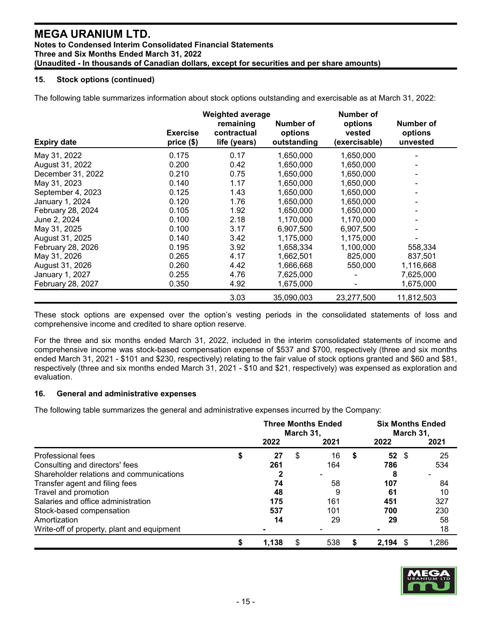## **15. Stock options (continued)**

The following table summarizes information about stock options outstanding and exercisable as at March 31, 2022:

|                    |                              | <b>Weighted average</b>                  |                                     | Number of                          |                                  |  |  |
|--------------------|------------------------------|------------------------------------------|-------------------------------------|------------------------------------|----------------------------------|--|--|
| <b>Expiry date</b> | <b>Exercise</b><br>price(\$) | remaining<br>contractual<br>life (years) | Number of<br>options<br>outstanding | options<br>vested<br>(exercisable) | Number of<br>options<br>unvested |  |  |
| May 31, 2022       | 0.175                        | 0.17                                     | 1,650,000                           | 1,650,000                          | -                                |  |  |
| August 31, 2022    | 0.200                        | 0.42                                     | 1,650,000                           | 1,650,000                          |                                  |  |  |
| December 31, 2022  | 0.210                        | 0.75                                     | 1,650,000                           | 1,650,000                          | ۰                                |  |  |
| May 31, 2023       | 0.140                        | 1.17                                     | 1,650,000                           | 1,650,000                          | Ξ.                               |  |  |
| September 4, 2023  | 0.125                        | 1.43                                     | 1,650,000                           | 1,650,000                          | $\overline{\phantom{0}}$         |  |  |
| January 1, 2024    | 0.120                        | 1.76                                     | 1,650,000                           | 1,650,000                          |                                  |  |  |
| February 28, 2024  | 0.105                        | 1.92                                     | 1,650,000                           | 1,650,000                          |                                  |  |  |
| June 2, 2024       | 0.100                        | 2.18                                     | 1,170,000                           | 1,170,000                          |                                  |  |  |
| May 31, 2025       | 0.100                        | 3.17                                     | 6,907,500                           | 6,907,500                          | ٠                                |  |  |
| August 31, 2025    | 0.140                        | 3.42                                     | 1,175,000                           | 1,175,000                          |                                  |  |  |
| February 28, 2026  | 0.195                        | 3.92                                     | 1,658,334                           | 1,100,000                          | 558,334                          |  |  |
| May 31, 2026       | 0.265                        | 4.17                                     | 1,662,501                           | 825,000                            | 837,501                          |  |  |
| August 31, 2026    | 0.260                        | 4.42                                     | 1,666,668                           | 550,000                            | 1,116,668                        |  |  |
| January 1, 2027    | 0.255                        | 4.76                                     | 7,625,000                           |                                    | 7,625,000                        |  |  |
| February 28, 2027  | 0.350                        | 4.92                                     | 1,675,000                           |                                    | 1,675,000                        |  |  |
|                    |                              | 3.03                                     | 35,090,003                          | 23,277,500                         | 11,812,503                       |  |  |

These stock options are expensed over the option's vesting periods in the consolidated statements of loss and comprehensive income and credited to share option reserve.

For the three and six months ended March 31, 2022, included in the interim consolidated statements of income and comprehensive income was stock-based compensation expense of \$537 and \$700, respectively (three and six months ended March 31, 2021 - \$101 and \$230, respectively) relating to the fair value of stock options granted and \$60 and \$81, respectively (three and six months ended March 31, 2021 - \$10 and \$21, respectively) was expensed as exploration and evaluation.

### **16. General and administrative expenses**

The following table summarizes the general and administrative expenses incurred by the Company:

|                                            | 2022        | <b>Three Months Ended</b><br>March 31,<br>2021 |     |   | <b>Six Months Ended</b><br>March 31,<br>2022<br>2021 |       |  |
|--------------------------------------------|-------------|------------------------------------------------|-----|---|------------------------------------------------------|-------|--|
| Professional fees                          | 27          | S                                              | 16  | S | $52 \quad$                                           | 25    |  |
| Consulting and directors' fees             | \$<br>261   |                                                | 164 |   | 786                                                  | 534   |  |
| Shareholder relations and communications   |             |                                                |     |   | 8                                                    |       |  |
| Transfer agent and filing fees             | 74          |                                                | 58  |   | 107                                                  | 84    |  |
| Travel and promotion                       | 48          |                                                | 9   |   | 61                                                   | 10    |  |
| Salaries and office administration         | 175         |                                                | 161 |   | 451                                                  | 327   |  |
| Stock-based compensation                   | 537         |                                                | 101 |   | 700                                                  | 230   |  |
| Amortization                               | 14          |                                                | 29  |   | 29                                                   | 58    |  |
| Write-off of property, plant and equipment |             |                                                |     |   |                                                      | 18    |  |
|                                            | \$<br>1.138 |                                                | 538 |   | 2.194                                                | 1.286 |  |

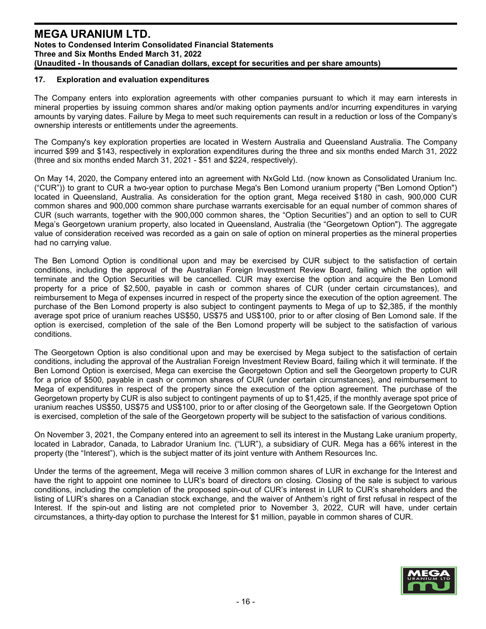#### **17. Exploration and evaluation expenditures**

The Company enters into exploration agreements with other companies pursuant to which it may earn interests in mineral properties by issuing common shares and/or making option payments and/or incurring expenditures in varying amounts by varying dates. Failure by Mega to meet such requirements can result in a reduction or loss of the Company's ownership interests or entitlements under the agreements.

The Company's key exploration properties are located in Western Australia and Queensland Australia. The Company incurred \$99 and \$143, respectively in exploration expenditures during the three and six months ended March 31, 2022 (three and six months ended March 31, 2021 - \$51 and \$224, respectively).

On May 14, 2020, the Company entered into an agreement with NxGold Ltd. (now known as Consolidated Uranium Inc. ("CUR")) to grant to CUR a two-year option to purchase Mega's Ben Lomond uranium property ("Ben Lomond Option") located in Queensland, Australia. As consideration for the option grant, Mega received \$180 in cash, 900,000 CUR common shares and 900,000 common share purchase warrants exercisable for an equal number of common shares of CUR (such warrants, together with the 900,000 common shares, the "Option Securities") and an option to sell to CUR Mega's Georgetown uranium property, also located in Queensland, Australia (the "Georgetown Option"). The aggregate value of consideration received was recorded as a gain on sale of option on mineral properties as the mineral properties had no carrying value.

The Ben Lomond Option is conditional upon and may be exercised by CUR subject to the satisfaction of certain conditions, including the approval of the Australian Foreign Investment Review Board, failing which the option will terminate and the Option Securities will be cancelled. CUR may exercise the option and acquire the Ben Lomond property for a price of \$2,500, payable in cash or common shares of CUR (under certain circumstances), and reimbursement to Mega of expenses incurred in respect of the property since the execution of the option agreement. The purchase of the Ben Lomond property is also subject to contingent payments to Mega of up to \$2,385, if the monthly average spot price of uranium reaches US\$50, US\$75 and US\$100, prior to or after closing of Ben Lomond sale. If the option is exercised, completion of the sale of the Ben Lomond property will be subject to the satisfaction of various conditions.

The Georgetown Option is also conditional upon and may be exercised by Mega subject to the satisfaction of certain conditions, including the approval of the Australian Foreign Investment Review Board, failing which it will terminate. If the Ben Lomond Option is exercised, Mega can exercise the Georgetown Option and sell the Georgetown property to CUR for a price of \$500, payable in cash or common shares of CUR (under certain circumstances), and reimbursement to Mega of expenditures in respect of the property since the execution of the option agreement. The purchase of the Georgetown property by CUR is also subject to contingent payments of up to \$1,425, if the monthly average spot price of uranium reaches US\$50, US\$75 and US\$100, prior to or after closing of the Georgetown sale. If the Georgetown Option is exercised, completion of the sale of the Georgetown property will be subject to the satisfaction of various conditions.

On November 3, 2021, the Company entered into an agreement to sell its interest in the Mustang Lake uranium property, located in Labrador, Canada, to Labrador Uranium Inc. ("LUR"), a subsidiary of CUR. Mega has a 66% interest in the property (the "Interest"), which is the subject matter of its joint venture with Anthem Resources Inc.

Under the terms of the agreement, Mega will receive 3 million common shares of LUR in exchange for the Interest and have the right to appoint one nominee to LUR's board of directors on closing. Closing of the sale is subject to various conditions, including the completion of the proposed spin-out of CUR's interest in LUR to CUR's shareholders and the listing of LUR's shares on a Canadian stock exchange, and the waiver of Anthem's right of first refusal in respect of the Interest. If the spin-out and listing are not completed prior to November 3, 2022, CUR will have, under certain circumstances, a thirty-day option to purchase the Interest for \$1 million, payable in common shares of CUR.

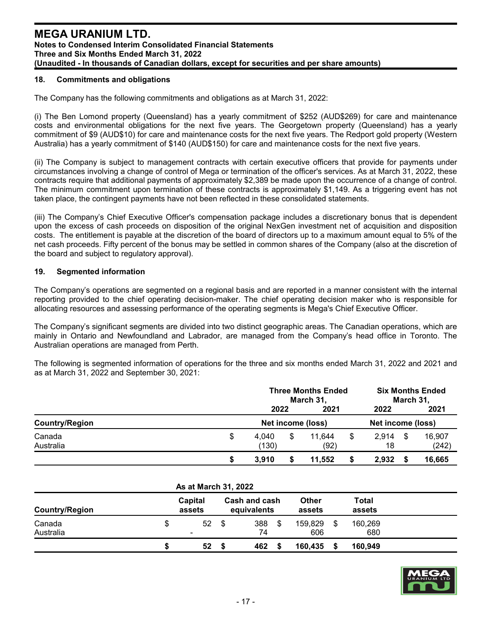#### **18. Commitments and obligations**

The Company has the following commitments and obligations as at March 31, 2022:

(i) The Ben Lomond property (Queensland) has a yearly commitment of \$252 (AUD\$269) for care and maintenance costs and environmental obligations for the next five years. The Georgetown property (Queensland) has a yearly commitment of \$9 (AUD\$10) for care and maintenance costs for the next five years. The Redport gold property (Western Australia) has a yearly commitment of \$140 (AUD\$150) for care and maintenance costs for the next five years.

(ii) The Company is subject to management contracts with certain executive officers that provide for payments under circumstances involving a change of control of Mega or termination of the officer's services. As at March 31, 2022, these contracts require that additional payments of approximately \$2,389 be made upon the occurrence of a change of control. The minimum commitment upon termination of these contracts is approximately \$1,149. As a triggering event has not taken place, the contingent payments have not been reflected in these consolidated statements.

(iii) The Company's Chief Executive Officer's compensation package includes a discretionary bonus that is dependent upon the excess of cash proceeds on disposition of the original NexGen investment net of acquisition and disposition costs. The entitlement is payable at the discretion of the board of directors up to a maximum amount equal to 5% of the net cash proceeds. Fifty percent of the bonus may be settled in common shares of the Company (also at the discretion of the board and subject to regulatory approval).

#### **19. Segmented information**

The Company's operations are segmented on a regional basis and are reported in a manner consistent with the internal reporting provided to the chief operating decision-maker. The chief operating decision maker who is responsible for allocating resources and assessing performance of the operating segments is Mega's Chief Executive Officer.

The Company's significant segments are divided into two distinct geographic areas. The Canadian operations, which are mainly in Ontario and Newfoundland and Labrador, are managed from the Company's head office in Toronto. The Australian operations are managed from Perth.

The following is segmented information of operations for the three and six months ended March 31, 2022 and 2021 and as at March 31, 2022 and September 30, 2021:

|                       |    |                | <b>Three Months Ended</b><br>March 31, |                   |    |                   | <b>Six Months Ended</b><br>March 31, |                 |  |
|-----------------------|----|----------------|----------------------------------------|-------------------|----|-------------------|--------------------------------------|-----------------|--|
|                       |    | 2022           |                                        | 2021              |    | 2022              |                                      | 2021            |  |
| <b>Country/Region</b> |    |                |                                        | Net income (loss) |    | Net income (loss) |                                      |                 |  |
| Canada<br>Australia   | \$ | 4.040<br>(130) | \$                                     | 11.644<br>(92)    | \$ | 2.914<br>18       | \$.                                  | 16,907<br>(242) |  |
|                       | S  | 3.910          |                                        | 11.552            | S  | 2.932             |                                      | 16,665          |  |

| As at March 31, 2022  |    |                   |    |                              |    |                 |    |                 |  |
|-----------------------|----|-------------------|----|------------------------------|----|-----------------|----|-----------------|--|
| <b>Country/Region</b> |    | Capital<br>assets |    | Cash and cash<br>equivalents |    | Other<br>assets |    | Total<br>assets |  |
| Canada<br>Australia   | \$ | 52                | \$ | 388<br>74                    | \$ | 159.829<br>606  | \$ | 160,269<br>680  |  |
|                       |    | 52                |    | 462                          |    | 160.435         |    | 160.949         |  |

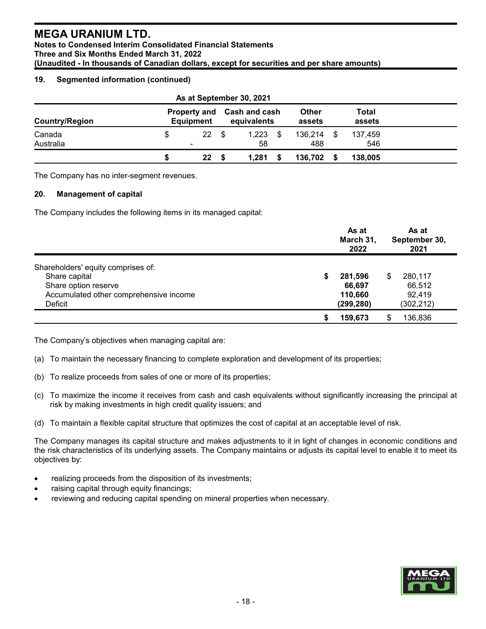#### **Notes to Condensed Interim Consolidated Financial Statements Three and Six Months Ended March 31, 2022 (Unaudited - In thousands of Canadian dollars, except for securities and per share amounts)**

#### **19. Segmented information (continued)**

| As at September 30, 2021 |   |                  |     |                                           |                        |                |                 |                |  |
|--------------------------|---|------------------|-----|-------------------------------------------|------------------------|----------------|-----------------|----------------|--|
| <b>Country/Region</b>    |   | <b>Equipment</b> |     | Property and Cash and cash<br>equivalents | <b>Other</b><br>assets |                | Total<br>assets |                |  |
| Canada<br>Australia      | S | 22<br>-          | -\$ | 1,223<br>58                               |                        | 136,214<br>488 | -S              | 137.459<br>546 |  |
|                          |   | 22               |     | 1.281                                     |                        | 136.702        |                 | 138,005        |  |

The Company has no inter-segment revenues.

### **20. Management of capital**

The Company includes the following items in its managed capital:

|                                        | As at<br>March 31,<br>2022 | As at<br>September 30,<br>2021 |
|----------------------------------------|----------------------------|--------------------------------|
| Shareholders' equity comprises of:     |                            |                                |
| Share capital                          | 281,596                    | 280,117<br>S                   |
| Share option reserve                   | 66,697                     | 66,512                         |
| Accumulated other comprehensive income | 110,660                    | 92,419                         |
| Deficit                                | (299, 280)                 | (302, 212)                     |
|                                        | 159,673                    | 136,836<br>S                   |

The Company's objectives when managing capital are:

- (a) To maintain the necessary financing to complete exploration and development of its properties;
- (b) To realize proceeds from sales of one or more of its properties;
- (c) To maximize the income it receives from cash and cash equivalents without significantly increasing the principal at risk by making investments in high credit quality issuers; and
- (d) To maintain a flexible capital structure that optimizes the cost of capital at an acceptable level of risk.

The Company manages its capital structure and makes adjustments to it in light of changes in economic conditions and the risk characteristics of its underlying assets. The Company maintains or adjusts its capital level to enable it to meet its objectives by:

- realizing proceeds from the disposition of its investments;
- raising capital through equity financings;
- reviewing and reducing capital spending on mineral properties when necessary.

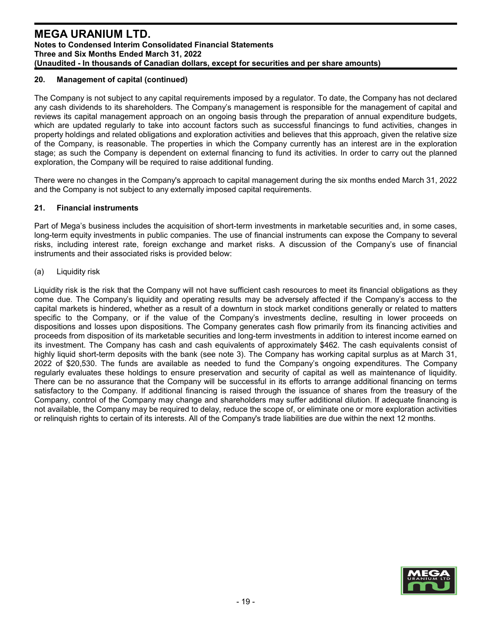## **20. Management of capital (continued)**

The Company is not subject to any capital requirements imposed by a regulator. To date, the Company has not declared any cash dividends to its shareholders. The Company's management is responsible for the management of capital and reviews its capital management approach on an ongoing basis through the preparation of annual expenditure budgets, which are updated regularly to take into account factors such as successful financings to fund activities, changes in property holdings and related obligations and exploration activities and believes that this approach, given the relative size of the Company, is reasonable. The properties in which the Company currently has an interest are in the exploration stage; as such the Company is dependent on external financing to fund its activities. In order to carry out the planned exploration, the Company will be required to raise additional funding.

There were no changes in the Company's approach to capital management during the six months ended March 31, 2022 and the Company is not subject to any externally imposed capital requirements.

### **21. Financial instruments**

Part of Mega's business includes the acquisition of short-term investments in marketable securities and, in some cases, long-term equity investments in public companies. The use of financial instruments can expose the Company to several risks, including interest rate, foreign exchange and market risks. A discussion of the Company's use of financial instruments and their associated risks is provided below:

(a) Liquidity risk

Liquidity risk is the risk that the Company will not have sufficient cash resources to meet its financial obligations as they come due. The Company's liquidity and operating results may be adversely affected if the Company's access to the capital markets is hindered, whether as a result of a downturn in stock market conditions generally or related to matters specific to the Company, or if the value of the Company's investments decline, resulting in lower proceeds on dispositions and losses upon dispositions. The Company generates cash flow primarily from its financing activities and proceeds from disposition of its marketable securities and long-term investments in addition to interest income earned on its investment. The Company has cash and cash equivalents of approximately \$462. The cash equivalents consist of highly liquid short-term deposits with the bank (see note 3). The Company has working capital surplus as at March 31, 2022 of \$20,530. The funds are available as needed to fund the Company's ongoing expenditures. The Company regularly evaluates these holdings to ensure preservation and security of capital as well as maintenance of liquidity. There can be no assurance that the Company will be successful in its efforts to arrange additional financing on terms satisfactory to the Company. If additional financing is raised through the issuance of shares from the treasury of the Company, control of the Company may change and shareholders may suffer additional dilution. If adequate financing is not available, the Company may be required to delay, reduce the scope of, or eliminate one or more exploration activities or relinquish rights to certain of its interests. All of the Company's trade liabilities are due within the next 12 months.

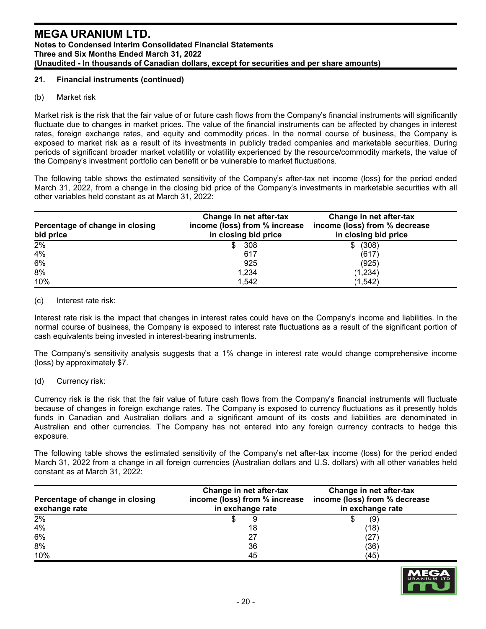### **21. Financial instruments (continued)**

### (b) Market risk

Market risk is the risk that the fair value of or future cash flows from the Company's financial instruments will significantly fluctuate due to changes in market prices. The value of the financial instruments can be affected by changes in interest rates, foreign exchange rates, and equity and commodity prices. In the normal course of business, the Company is exposed to market risk as a result of its investments in publicly traded companies and marketable securities. During periods of significant broader market volatility or volatility experienced by the resource/commodity markets, the value of the Company's investment portfolio can benefit or be vulnerable to market fluctuations.

The following table shows the estimated sensitivity of the Company's after-tax net income (loss) for the period ended March 31, 2022, from a change in the closing bid price of the Company's investments in marketable securities with all other variables held constant as at March 31, 2022:

| Percentage of change in closing<br>bid price | Change in net after-tax<br>income (loss) from % increase<br>in closing bid price | Change in net after-tax<br>income (loss) from % decrease<br>in closing bid price |  |  |  |  |
|----------------------------------------------|----------------------------------------------------------------------------------|----------------------------------------------------------------------------------|--|--|--|--|
| 2%                                           | 308                                                                              | (308)<br>\$.                                                                     |  |  |  |  |
| 4%                                           | 617                                                                              | (617)                                                                            |  |  |  |  |
| 6%                                           | 925                                                                              | (925)                                                                            |  |  |  |  |
| 8%                                           | 1,234                                                                            | (1,234)                                                                          |  |  |  |  |
| 10%                                          | 1,542                                                                            | (1, 542)                                                                         |  |  |  |  |

#### (c) Interest rate risk:

Interest rate risk is the impact that changes in interest rates could have on the Company's income and liabilities. In the normal course of business, the Company is exposed to interest rate fluctuations as a result of the significant portion of cash equivalents being invested in interest-bearing instruments.

The Company's sensitivity analysis suggests that a 1% change in interest rate would change comprehensive income (loss) by approximately \$7.

### (d) Currency risk:

Currency risk is the risk that the fair value of future cash flows from the Company's financial instruments will fluctuate because of changes in foreign exchange rates. The Company is exposed to currency fluctuations as it presently holds funds in Canadian and Australian dollars and a significant amount of its costs and liabilities are denominated in Australian and other currencies. The Company has not entered into any foreign currency contracts to hedge this exposure.

The following table shows the estimated sensitivity of the Company's net after-tax income (loss) for the period ended March 31, 2022 from a change in all foreign currencies (Australian dollars and U.S. dollars) with all other variables held constant as at March 31, 2022:

| Percentage of change in closing<br>exchange rate | Change in net after-tax<br>income (loss) from % increase<br>in exchange rate | Change in net after-tax<br>income (loss) from % decrease<br>in exchange rate |  |  |  |
|--------------------------------------------------|------------------------------------------------------------------------------|------------------------------------------------------------------------------|--|--|--|
| 2%                                               | 9                                                                            | (9)                                                                          |  |  |  |
| 4%                                               | 18                                                                           | (18)                                                                         |  |  |  |
| 6%                                               | 27                                                                           | (27)                                                                         |  |  |  |
| 8%                                               | 36                                                                           | (36)                                                                         |  |  |  |
| 10%                                              | 45                                                                           | (45)                                                                         |  |  |  |

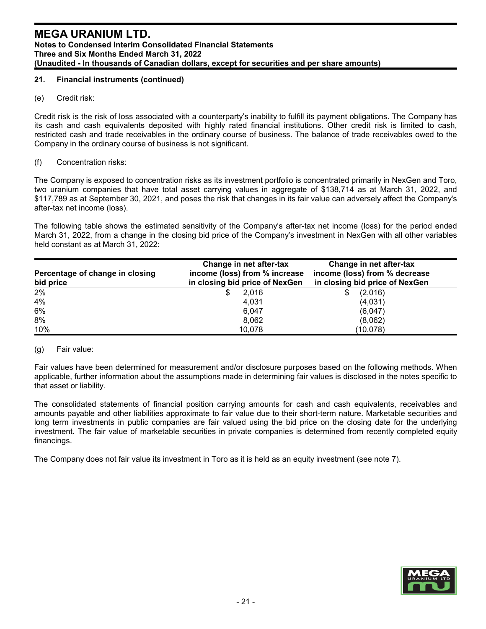## **21. Financial instruments (continued)**

(e) Credit risk:

Credit risk is the risk of loss associated with a counterparty's inability to fulfill its payment obligations. The Company has its cash and cash equivalents deposited with highly rated financial institutions. Other credit risk is limited to cash, restricted cash and trade receivables in the ordinary course of business. The balance of trade receivables owed to the Company in the ordinary course of business is not significant.

#### (f) Concentration risks:

The Company is exposed to concentration risks as its investment portfolio is concentrated primarily in NexGen and Toro, two uranium companies that have total asset carrying values in aggregate of \$138,714 as at March 31, 2022, and \$117,789 as at September 30, 2021, and poses the risk that changes in its fair value can adversely affect the Company's after-tax net income (loss).

The following table shows the estimated sensitivity of the Company's after-tax net income (loss) for the period ended March 31, 2022, from a change in the closing bid price of the Company's investment in NexGen with all other variables held constant as at March 31, 2022:

| Percentage of change in closing<br>bid price | Change in net after-tax<br>income (loss) from % increase<br>in closing bid price of NexGen | Change in net after-tax<br>income (loss) from % decrease<br>in closing bid price of NexGen |  |  |  |  |
|----------------------------------------------|--------------------------------------------------------------------------------------------|--------------------------------------------------------------------------------------------|--|--|--|--|
| 2%                                           | \$<br>2.016                                                                                | (2,016)                                                                                    |  |  |  |  |
| 4%                                           | 4,031                                                                                      | (4,031)                                                                                    |  |  |  |  |
| 6%                                           | 6.047                                                                                      | (6,047)                                                                                    |  |  |  |  |
| 8%                                           | 8,062                                                                                      | (8,062)                                                                                    |  |  |  |  |
| 10%                                          | 10,078                                                                                     | (10,078)                                                                                   |  |  |  |  |

#### (g) Fair value:

Fair values have been determined for measurement and/or disclosure purposes based on the following methods. When applicable, further information about the assumptions made in determining fair values is disclosed in the notes specific to that asset or liability.

The consolidated statements of financial position carrying amounts for cash and cash equivalents, receivables and amounts payable and other liabilities approximate to fair value due to their short-term nature. Marketable securities and long term investments in public companies are fair valued using the bid price on the closing date for the underlying investment. The fair value of marketable securities in private companies is determined from recently completed equity financings.

The Company does not fair value its investment in Toro as it is held as an equity investment (see note 7).